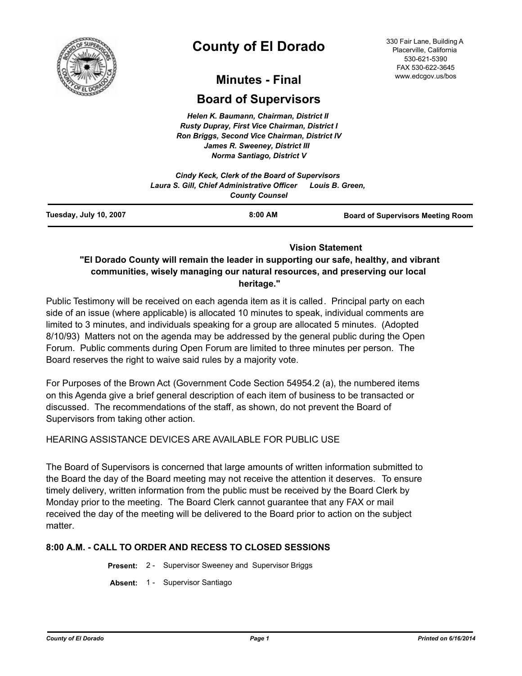

# **County of El Dorado**

#### 330 Fair Lane, Building A Placerville, California 530-621-5390 FAX 530-622-3645 www.edcgov.us/bos

# **Minutes - Final**

# **Board of Supervisors**

*Helen K. Baumann, Chairman, District II Rusty Dupray, First Vice Chairman, District I Ron Briggs, Second Vice Chairman, District IV James R. Sweeney, District III Norma Santiago, District V*

|                               | Cindy Keck, Clerk of the Board of Supervisors                        |                                          |
|-------------------------------|----------------------------------------------------------------------|------------------------------------------|
|                               | Laura S. Gill, Chief Administrative Officer<br><b>County Counsel</b> | Louis B. Green.                          |
| <b>Fuesday, July 10, 2007</b> | $8:00$ AM                                                            | <b>Board of Supervisors Meeting Room</b> |

### **Vision Statement**

# **"El Dorado County will remain the leader in supporting our safe, healthy, and vibrant communities, wisely managing our natural resources, and preserving our local heritage."**

Public Testimony will be received on each agenda item as it is called. Principal party on each side of an issue (where applicable) is allocated 10 minutes to speak, individual comments are limited to 3 minutes, and individuals speaking for a group are allocated 5 minutes. (Adopted 8/10/93) Matters not on the agenda may be addressed by the general public during the Open Forum. Public comments during Open Forum are limited to three minutes per person. The Board reserves the right to waive said rules by a majority vote.

For Purposes of the Brown Act (Government Code Section 54954.2 (a), the numbered items on this Agenda give a brief general description of each item of business to be transacted or discussed. The recommendations of the staff, as shown, do not prevent the Board of Supervisors from taking other action.

# HEARING ASSISTANCE DEVICES ARE AVAILABLE FOR PUBLIC USE

The Board of Supervisors is concerned that large amounts of written information submitted to the Board the day of the Board meeting may not receive the attention it deserves. To ensure timely delivery, written information from the public must be received by the Board Clerk by Monday prior to the meeting. The Board Clerk cannot guarantee that any FAX or mail received the day of the meeting will be delivered to the Board prior to action on the subject matter

# **8:00 A.M. - CALL TO ORDER AND RECESS TO CLOSED SESSIONS**

**Present:** 2 - Supervisor Sweeney and Supervisor Briggs

**Absent:** 1 - Supervisor Santiago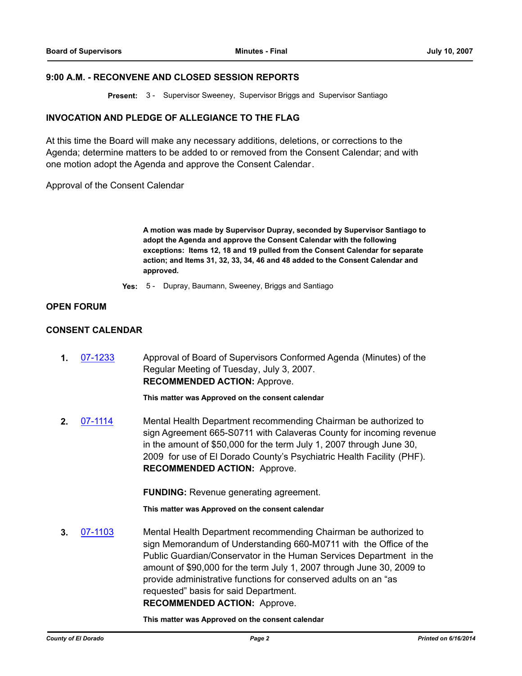### **9:00 A.M. - RECONVENE AND CLOSED SESSION REPORTS**

**Present:** 3 - Supervisor Sweeney, Supervisor Briggs and Supervisor Santiago

### **INVOCATION AND PLEDGE OF ALLEGIANCE TO THE FLAG**

At this time the Board will make any necessary additions, deletions, or corrections to the Agenda; determine matters to be added to or removed from the Consent Calendar; and with one motion adopt the Agenda and approve the Consent Calendar.

Approval of the Consent Calendar

**A motion was made by Supervisor Dupray, seconded by Supervisor Santiago to adopt the Agenda and approve the Consent Calendar with the following exceptions: Items 12, 18 and 19 pulled from the Consent Calendar for separate action; and Items 31, 32, 33, 34, 46 and 48 added to the Consent Calendar and approved.**

**Yes:** 5 - Dupray, Baumann, Sweeney, Briggs and Santiago

### **OPEN FORUM**

# **CONSENT CALENDAR**

**1.** [07-1233](http://eldorado.legistar.com/gateway.aspx?m=l&id=/matter.aspx?key=6085) Approval of Board of Supervisors Conformed Agenda (Minutes) of the Regular Meeting of Tuesday, July 3, 2007. **RECOMMENDED ACTION:** Approve.

**This matter was Approved on the consent calendar**

**2.** [07-1114](http://eldorado.legistar.com/gateway.aspx?m=l&id=/matter.aspx?key=5916) Mental Health Department recommending Chairman be authorized to sign Agreement 665-S0711 with Calaveras County for incoming revenue in the amount of \$50,000 for the term July 1, 2007 through June 30, 2009 for use of El Dorado County's Psychiatric Health Facility (PHF). **RECOMMENDED ACTION:** Approve.

**FUNDING:** Revenue generating agreement.

**This matter was Approved on the consent calendar**

**3.** [07-1103](http://eldorado.legistar.com/gateway.aspx?m=l&id=/matter.aspx?key=5900) Mental Health Department recommending Chairman be authorized to sign Memorandum of Understanding 660-M0711 with the Office of the Public Guardian/Conservator in the Human Services Department in the amount of \$90,000 for the term July 1, 2007 through June 30, 2009 to provide administrative functions for conserved adults on an "as requested" basis for said Department. **RECOMMENDED ACTION:** Approve.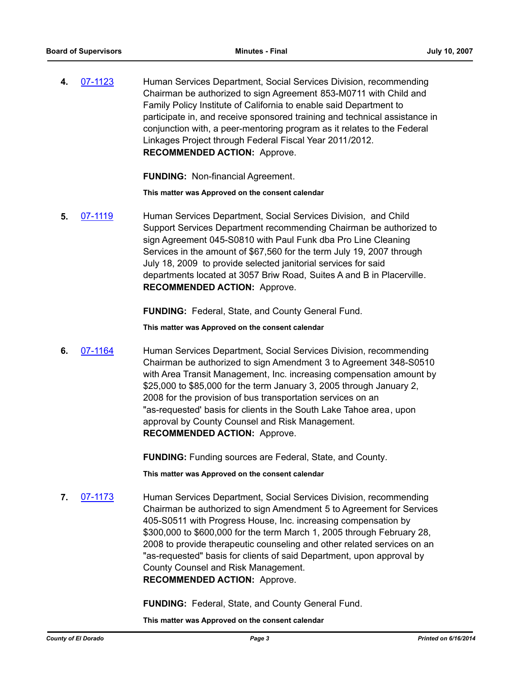**4.** [07-1123](http://eldorado.legistar.com/gateway.aspx?m=l&id=/matter.aspx?key=5926) Human Services Department, Social Services Division, recommending Chairman be authorized to sign Agreement 853-M0711 with Child and Family Policy Institute of California to enable said Department to participate in, and receive sponsored training and technical assistance in conjunction with, a peer-mentoring program as it relates to the Federal Linkages Project through Federal Fiscal Year 2011/2012. **RECOMMENDED ACTION:** Approve.

**FUNDING:** Non-financial Agreement.

**This matter was Approved on the consent calendar**

**5.** [07-1119](http://eldorado.legistar.com/gateway.aspx?m=l&id=/matter.aspx?key=5921) Human Services Department, Social Services Division, and Child Support Services Department recommending Chairman be authorized to sign Agreement 045-S0810 with Paul Funk dba Pro Line Cleaning Services in the amount of \$67,560 for the term July 19, 2007 through July 18, 2009 to provide selected janitorial services for said departments located at 3057 Briw Road, Suites A and B in Placerville. **RECOMMENDED ACTION:** Approve.

**FUNDING:** Federal, State, and County General Fund.

**This matter was Approved on the consent calendar**

**6.** [07-1164](http://eldorado.legistar.com/gateway.aspx?m=l&id=/matter.aspx?key=5987) Human Services Department, Social Services Division, recommending Chairman be authorized to sign Amendment 3 to Agreement 348-S0510 with Area Transit Management, Inc. increasing compensation amount by \$25,000 to \$85,000 for the term January 3, 2005 through January 2, 2008 for the provision of bus transportation services on an "as-requested' basis for clients in the South Lake Tahoe area, upon approval by County Counsel and Risk Management. **RECOMMENDED ACTION:** Approve.

**FUNDING:** Funding sources are Federal, State, and County.

**This matter was Approved on the consent calendar**

**7.** [07-1173](http://eldorado.legistar.com/gateway.aspx?m=l&id=/matter.aspx?key=6005) Human Services Department, Social Services Division, recommending Chairman be authorized to sign Amendment 5 to Agreement for Services 405-S0511 with Progress House, Inc. increasing compensation by \$300,000 to \$600,000 for the term March 1, 2005 through February 28, 2008 to provide therapeutic counseling and other related services on an "as-requested" basis for clients of said Department, upon approval by County Counsel and Risk Management. **RECOMMENDED ACTION:** Approve.

**FUNDING:** Federal, State, and County General Fund.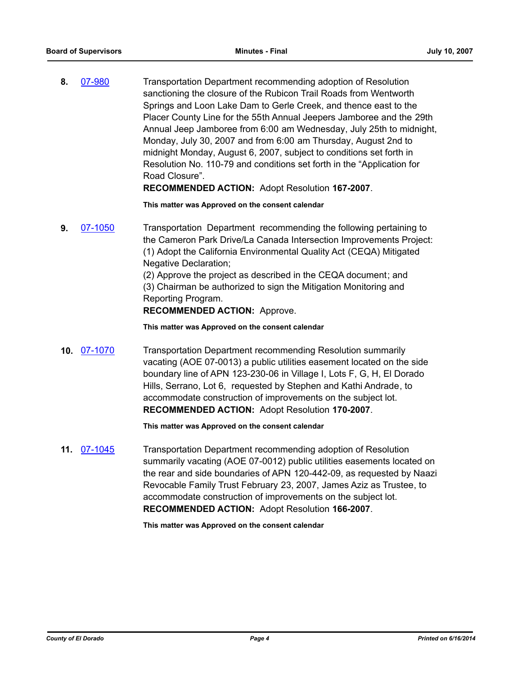**8.** [07-980](http://eldorado.legistar.com/gateway.aspx?m=l&id=/matter.aspx?key=5724) Transportation Department recommending adoption of Resolution sanctioning the closure of the Rubicon Trail Roads from Wentworth Springs and Loon Lake Dam to Gerle Creek, and thence east to the Placer County Line for the 55th Annual Jeepers Jamboree and the 29th Annual Jeep Jamboree from 6:00 am Wednesday, July 25th to midnight, Monday, July 30, 2007 and from 6:00 am Thursday, August 2nd to midnight Monday, August 6, 2007, subject to conditions set forth in Resolution No. 110-79 and conditions set forth in the "Application for Road Closure".

**RECOMMENDED ACTION:** Adopt Resolution **167-2007**.

**This matter was Approved on the consent calendar**

**9.** [07-1050](http://eldorado.legistar.com/gateway.aspx?m=l&id=/matter.aspx?key=5811) Transportation Department recommending the following pertaining to the Cameron Park Drive/La Canada Intersection Improvements Project: (1) Adopt the California Environmental Quality Act (CEQA) Mitigated Negative Declaration; (2) Approve the project as described in the CEQA document; and

(3) Chairman be authorized to sign the Mitigation Monitoring and Reporting Program.

# **RECOMMENDED ACTION:** Approve.

### **This matter was Approved on the consent calendar**

**10.** [07-1070](http://eldorado.legistar.com/gateway.aspx?m=l&id=/matter.aspx?key=5851) Transportation Department recommending Resolution summarily vacating (AOE 07-0013) a public utilities easement located on the side boundary line of APN 123-230-06 in Village I, Lots F, G, H, El Dorado Hills, Serrano, Lot 6, requested by Stephen and Kathi Andrade, to accommodate construction of improvements on the subject lot. **RECOMMENDED ACTION:** Adopt Resolution **170-2007**.

**This matter was Approved on the consent calendar**

**11.** [07-1045](http://eldorado.legistar.com/gateway.aspx?m=l&id=/matter.aspx?key=5805) Transportation Department recommending adoption of Resolution summarily vacating (AOE 07-0012) public utilities easements located on the rear and side boundaries of APN 120-442-09, as requested by Naazi Revocable Family Trust February 23, 2007, James Aziz as Trustee, to accommodate construction of improvements on the subject lot. **RECOMMENDED ACTION:** Adopt Resolution **166-2007**.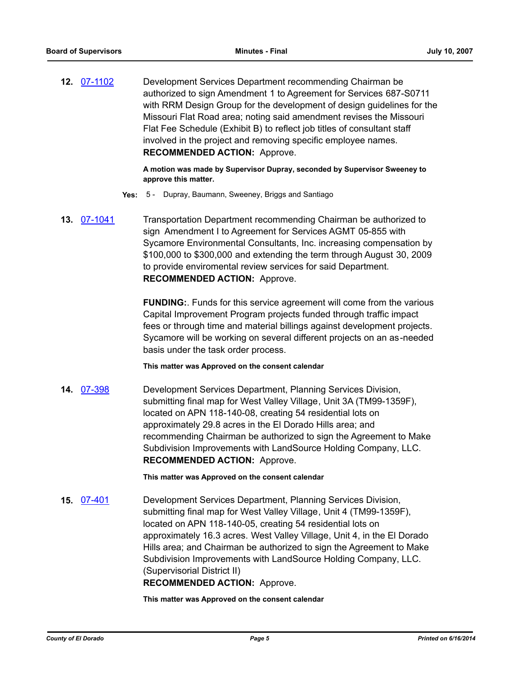**12.** [07-1102](http://eldorado.legistar.com/gateway.aspx?m=l&id=/matter.aspx?key=5899) Development Services Department recommending Chairman be authorized to sign Amendment 1 to Agreement for Services 687-S0711 with RRM Design Group for the development of design guidelines for the Missouri Flat Road area; noting said amendment revises the Missouri Flat Fee Schedule (Exhibit B) to reflect job titles of consultant staff involved in the project and removing specific employee names. **RECOMMENDED ACTION:** Approve.

> **A motion was made by Supervisor Dupray, seconded by Supervisor Sweeney to approve this matter.**

- **Yes:** 5 Dupray, Baumann, Sweeney, Briggs and Santiago
- **13.** [07-1041](http://eldorado.legistar.com/gateway.aspx?m=l&id=/matter.aspx?key=5797) Transportation Department recommending Chairman be authorized to sign Amendment I to Agreement for Services AGMT 05-855 with Sycamore Environmental Consultants, Inc. increasing compensation by \$100,000 to \$300,000 and extending the term through August 30, 2009 to provide enviromental review services for said Department. **RECOMMENDED ACTION:** Approve.

**FUNDING:**. Funds for this service agreement will come from the various Capital Improvement Program projects funded through traffic impact fees or through time and material billings against development projects. Sycamore will be working on several different projects on an as-needed basis under the task order process.

#### **This matter was Approved on the consent calendar**

**14.** [07-398](http://eldorado.legistar.com/gateway.aspx?m=l&id=/matter.aspx?key=4812) Development Services Department, Planning Services Division, submitting final map for West Valley Village, Unit 3A (TM99-1359F), located on APN 118-140-08, creating 54 residential lots on approximately 29.8 acres in the El Dorado Hills area; and recommending Chairman be authorized to sign the Agreement to Make Subdivision Improvements with LandSource Holding Company, LLC. **RECOMMENDED ACTION:** Approve.

**This matter was Approved on the consent calendar**

**15.** [07-401](http://eldorado.legistar.com/gateway.aspx?m=l&id=/matter.aspx?key=4816) Development Services Department, Planning Services Division, submitting final map for West Valley Village, Unit 4 (TM99-1359F), located on APN 118-140-05, creating 54 residential lots on approximately 16.3 acres. West Valley Village, Unit 4, in the El Dorado Hills area; and Chairman be authorized to sign the Agreement to Make Subdivision Improvements with LandSource Holding Company, LLC. (Supervisorial District II) **RECOMMENDED ACTION:** Approve.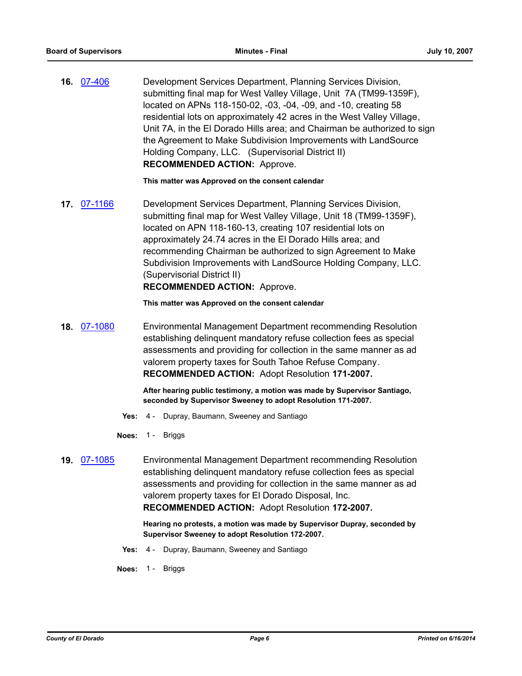**16.** [07-406](http://eldorado.legistar.com/gateway.aspx?m=l&id=/matter.aspx?key=4822) Development Services Department, Planning Services Division, submitting final map for West Valley Village, Unit 7A (TM99-1359F), located on APNs 118-150-02, -03, -04, -09, and -10, creating 58 residential lots on approximately 42 acres in the West Valley Village, Unit 7A, in the El Dorado Hills area; and Chairman be authorized to sign the Agreement to Make Subdivision Improvements with LandSource Holding Company, LLC. (Supervisorial District II) **RECOMMENDED ACTION:** Approve.

**This matter was Approved on the consent calendar**

**17.** [07-1166](http://eldorado.legistar.com/gateway.aspx?m=l&id=/matter.aspx?key=5989) Development Services Department, Planning Services Division, submitting final map for West Valley Village, Unit 18 (TM99-1359F), located on APN 118-160-13, creating 107 residential lots on approximately 24.74 acres in the El Dorado Hills area; and recommending Chairman be authorized to sign Agreement to Make Subdivision Improvements with LandSource Holding Company, LLC. (Supervisorial District II)

### **RECOMMENDED ACTION:** Approve.

**This matter was Approved on the consent calendar**

**18.** [07-1080](http://eldorado.legistar.com/gateway.aspx?m=l&id=/matter.aspx?key=5863) Environmental Management Department recommending Resolution establishing delinquent mandatory refuse collection fees as special assessments and providing for collection in the same manner as ad valorem property taxes for South Tahoe Refuse Company. **RECOMMENDED ACTION:** Adopt Resolution **171-2007.**

> **After hearing public testimony, a motion was made by Supervisor Santiago, seconded by Supervisor Sweeney to adopt Resolution 171-2007.**

- **Yes:** 4 Dupray, Baumann, Sweeney and Santiago
- **Noes:** 1 Briggs
- **19.** [07-1085](http://eldorado.legistar.com/gateway.aspx?m=l&id=/matter.aspx?key=5872) Environmental Management Department recommending Resolution establishing delinquent mandatory refuse collection fees as special assessments and providing for collection in the same manner as ad valorem property taxes for El Dorado Disposal, Inc. **RECOMMENDED ACTION:** Adopt Resolution **172-2007.**

**Hearing no protests, a motion was made by Supervisor Dupray, seconded by Supervisor Sweeney to adopt Resolution 172-2007.**

**Yes:** 4 - Dupray, Baumann, Sweeney and Santiago

**Noes:** 1 - Briggs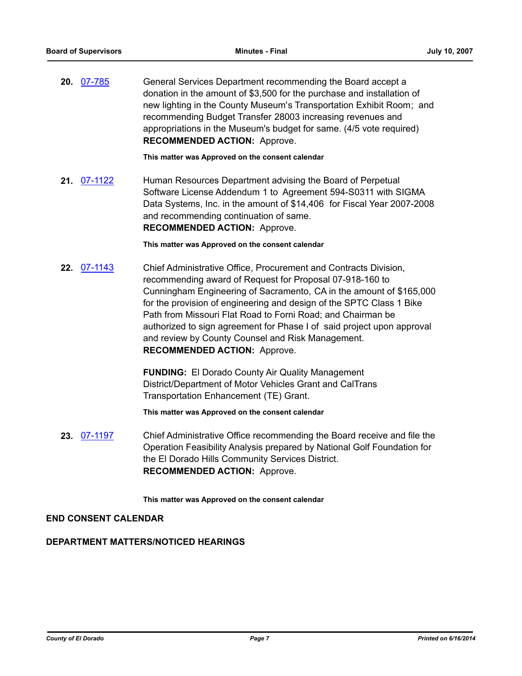**20.** [07-785](http://eldorado.legistar.com/gateway.aspx?m=l&id=/matter.aspx?key=5446) General Services Department recommending the Board accept a donation in the amount of \$3,500 for the purchase and installation of new lighting in the County Museum's Transportation Exhibit Room; and recommending Budget Transfer 28003 increasing revenues and appropriations in the Museum's budget for same. (4/5 vote required) **RECOMMENDED ACTION:** Approve.

**This matter was Approved on the consent calendar**

**21.** [07-1122](http://eldorado.legistar.com/gateway.aspx?m=l&id=/matter.aspx?key=5924) Human Resources Department advising the Board of Perpetual Software License Addendum 1 to Agreement 594-S0311 with SIGMA Data Systems, Inc. in the amount of \$14,406 for Fiscal Year 2007-2008 and recommending continuation of same. **RECOMMENDED ACTION:** Approve.

**This matter was Approved on the consent calendar**

**22.** [07-1143](http://eldorado.legistar.com/gateway.aspx?m=l&id=/matter.aspx?key=5960) Chief Administrative Office, Procurement and Contracts Division, recommending award of Request for Proposal 07-918-160 to Cunningham Engineering of Sacramento, CA in the amount of \$165,000 for the provision of engineering and design of the SPTC Class 1 Bike Path from Missouri Flat Road to Forni Road; and Chairman be authorized to sign agreement for Phase I of said project upon approval and review by County Counsel and Risk Management. **RECOMMENDED ACTION:** Approve.

> **FUNDING:** El Dorado County Air Quality Management District/Department of Motor Vehicles Grant and CalTrans Transportation Enhancement (TE) Grant.

**This matter was Approved on the consent calendar**

**23.** [07-1197](http://eldorado.legistar.com/gateway.aspx?m=l&id=/matter.aspx?key=6031) Chief Administrative Office recommending the Board receive and file the Operation Feasibility Analysis prepared by National Golf Foundation for the El Dorado Hills Community Services District. **RECOMMENDED ACTION:** Approve.

**This matter was Approved on the consent calendar**

## **END CONSENT CALENDAR**

# **DEPARTMENT MATTERS/NOTICED HEARINGS**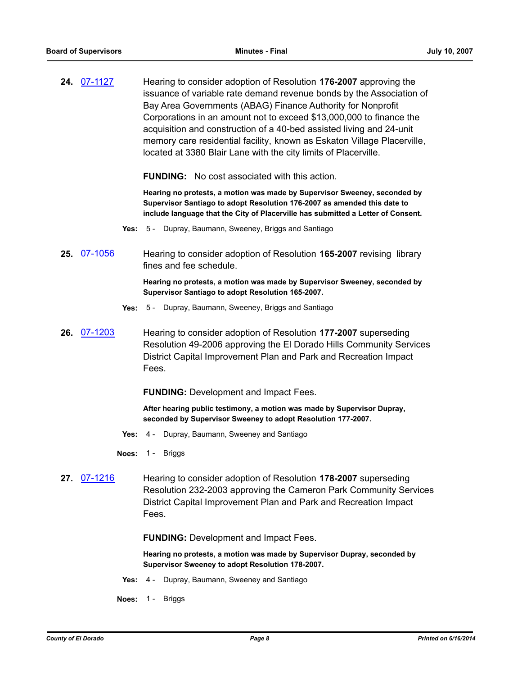**24.** [07-1127](http://eldorado.legistar.com/gateway.aspx?m=l&id=/matter.aspx?key=5932) Hearing to consider adoption of Resolution **176-2007** approving the issuance of variable rate demand revenue bonds by the Association of Bay Area Governments (ABAG) Finance Authority for Nonprofit Corporations in an amount not to exceed \$13,000,000 to finance the acquisition and construction of a 40-bed assisted living and 24-unit memory care residential facility, known as Eskaton Village Placerville, located at 3380 Blair Lane with the city limits of Placerville.

**FUNDING:** No cost associated with this action.

**Hearing no protests, a motion was made by Supervisor Sweeney, seconded by Supervisor Santiago to adopt Resolution 176-2007 as amended this date to include language that the City of Placerville has submitted a Letter of Consent.**

- **Yes:** 5 Dupray, Baumann, Sweeney, Briggs and Santiago
- **25.** [07-1056](http://eldorado.legistar.com/gateway.aspx?m=l&id=/matter.aspx?key=5819) Hearing to consider adoption of Resolution **165-2007** revising library fines and fee schedule.

**Hearing no protests, a motion was made by Supervisor Sweeney, seconded by Supervisor Santiago to adopt Resolution 165-2007.**

- **Yes:** 5 Dupray, Baumann, Sweeney, Briggs and Santiago
- **26.** [07-1203](http://eldorado.legistar.com/gateway.aspx?m=l&id=/matter.aspx?key=6039) Hearing to consider adoption of Resolution **177-2007** superseding Resolution 49-2006 approving the El Dorado Hills Community Services District Capital Improvement Plan and Park and Recreation Impact Fees.

**FUNDING:** Development and Impact Fees.

**After hearing public testimony, a motion was made by Supervisor Dupray, seconded by Supervisor Sweeney to adopt Resolution 177-2007.**

- **Yes:** 4 Dupray, Baumann, Sweeney and Santiago
- **Noes:** 1 Briggs
- **27.** [07-1216](http://eldorado.legistar.com/gateway.aspx?m=l&id=/matter.aspx?key=6059) Hearing to consider adoption of Resolution **178-2007** superseding Resolution 232-2003 approving the Cameron Park Community Services District Capital Improvement Plan and Park and Recreation Impact Fees.

**FUNDING:** Development and Impact Fees.

**Hearing no protests, a motion was made by Supervisor Dupray, seconded by Supervisor Sweeney to adopt Resolution 178-2007.**

- **Yes:** 4 Dupray, Baumann, Sweeney and Santiago
- **Noes:** 1 Briggs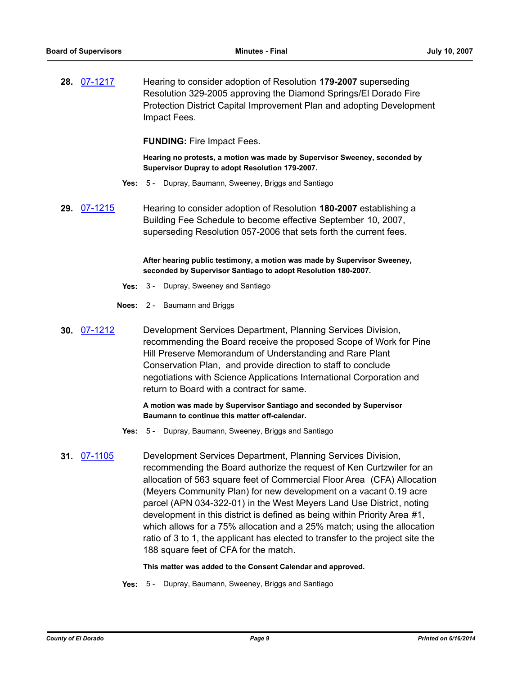**28.** [07-1217](http://eldorado.legistar.com/gateway.aspx?m=l&id=/matter.aspx?key=6060) Hearing to consider adoption of Resolution **179-2007** superseding Resolution 329-2005 approving the Diamond Springs/El Dorado Fire Protection District Capital Improvement Plan and adopting Development Impact Fees.

**FUNDING:** Fire Impact Fees.

**Hearing no protests, a motion was made by Supervisor Sweeney, seconded by Supervisor Dupray to adopt Resolution 179-2007.**

- **Yes:** 5 Dupray, Baumann, Sweeney, Briggs and Santiago
- **29.** [07-1215](http://eldorado.legistar.com/gateway.aspx?m=l&id=/matter.aspx?key=6058) Hearing to consider adoption of Resolution **180-2007** establishing a Building Fee Schedule to become effective September 10, 2007, superseding Resolution 057-2006 that sets forth the current fees.

**After hearing public testimony, a motion was made by Supervisor Sweeney, seconded by Supervisor Santiago to adopt Resolution 180-2007.**

- **Yes:** 3 Dupray, Sweeney and Santiago
- **Noes:** 2 Baumann and Briggs
- **30.** [07-1212](http://eldorado.legistar.com/gateway.aspx?m=l&id=/matter.aspx?key=6054) Development Services Department, Planning Services Division, recommending the Board receive the proposed Scope of Work for Pine Hill Preserve Memorandum of Understanding and Rare Plant Conservation Plan, and provide direction to staff to conclude negotiations with Science Applications International Corporation and return to Board with a contract for same.

### **A motion was made by Supervisor Santiago and seconded by Supervisor Baumann to continue this matter off-calendar.**

- **Yes:** 5 Dupray, Baumann, Sweeney, Briggs and Santiago
- **31.** [07-1105](http://eldorado.legistar.com/gateway.aspx?m=l&id=/matter.aspx?key=5903) Development Services Department, Planning Services Division, recommending the Board authorize the request of Ken Curtzwiler for an allocation of 563 square feet of Commercial Floor Area (CFA) Allocation (Meyers Community Plan) for new development on a vacant 0.19 acre parcel (APN 034-322-01) in the West Meyers Land Use District, noting development in this district is defined as being within Priority Area #1, which allows for a 75% allocation and a 25% match; using the allocation ratio of 3 to 1, the applicant has elected to transfer to the project site the 188 square feet of CFA for the match.

#### **This matter was added to the Consent Calendar and approved.**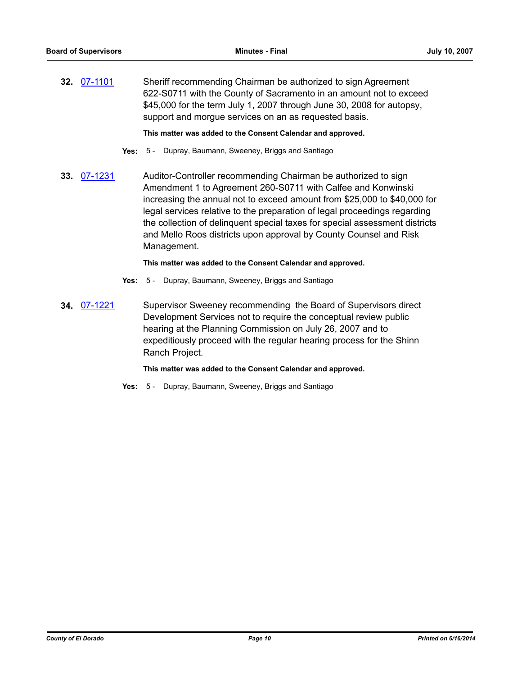**32.** [07-1101](http://eldorado.legistar.com/gateway.aspx?m=l&id=/matter.aspx?key=5897) Sheriff recommending Chairman be authorized to sign Agreement 622-S0711 with the County of Sacramento in an amount not to exceed \$45,000 for the term July 1, 2007 through June 30, 2008 for autopsy, support and morgue services on an as requested basis.

**This matter was added to the Consent Calendar and approved.**

- **Yes:** 5 Dupray, Baumann, Sweeney, Briggs and Santiago
- **33.** [07-1231](http://eldorado.legistar.com/gateway.aspx?m=l&id=/matter.aspx?key=6083) Auditor-Controller recommending Chairman be authorized to sign Amendment 1 to Agreement 260-S0711 with Calfee and Konwinski increasing the annual not to exceed amount from \$25,000 to \$40,000 for legal services relative to the preparation of legal proceedings regarding the collection of delinquent special taxes for special assessment districts and Mello Roos districts upon approval by County Counsel and Risk Management.

### **This matter was added to the Consent Calendar and approved.**

- **Yes:** 5 Dupray, Baumann, Sweeney, Briggs and Santiago
- **34.** [07-1221](http://eldorado.legistar.com/gateway.aspx?m=l&id=/matter.aspx?key=6069) Supervisor Sweeney recommending the Board of Supervisors direct Development Services not to require the conceptual review public hearing at the Planning Commission on July 26, 2007 and to expeditiously proceed with the regular hearing process for the Shinn Ranch Project.

### **This matter was added to the Consent Calendar and approved.**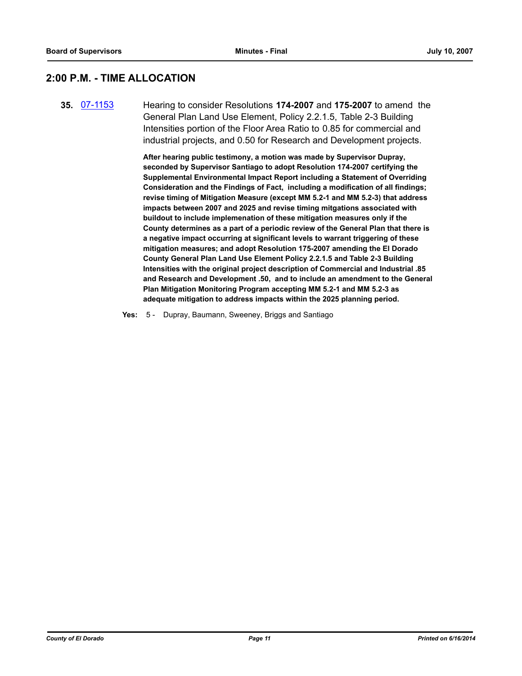# **2:00 P.M. - TIME ALLOCATION**

**35.** [07-1153](http://eldorado.legistar.com/gateway.aspx?m=l&id=/matter.aspx?key=5975) Hearing to consider Resolutions **174-2007** and **175-2007** to amend the General Plan Land Use Element, Policy 2.2.1.5, Table 2-3 Building Intensities portion of the Floor Area Ratio to 0.85 for commercial and industrial projects, and 0.50 for Research and Development projects.

> **After hearing public testimony, a motion was made by Supervisor Dupray, seconded by Supervisor Santiago to adopt Resolution 174-2007 certifying the Supplemental Environmental Impact Report including a Statement of Overriding Consideration and the Findings of Fact, including a modification of all findings; revise timing of Mitigation Measure (except MM 5.2-1 and MM 5.2-3) that address impacts between 2007 and 2025 and revise timing mitgations associated with buildout to include implemenation of these mitigation measures only if the County determines as a part of a periodic review of the General Plan that there is a negative impact occurring at significant levels to warrant triggering of these mitigation measures; and adopt Resolution 175-2007 amending the El Dorado County General Plan Land Use Element Policy 2.2.1.5 and Table 2-3 Building Intensities with the original project description of Commercial and Industrial .85 and Research and Development .50, and to include an amendment to the General Plan Mitigation Monitoring Program accepting MM 5.2-1 and MM 5.2-3 as adequate mitigation to address impacts within the 2025 planning period.**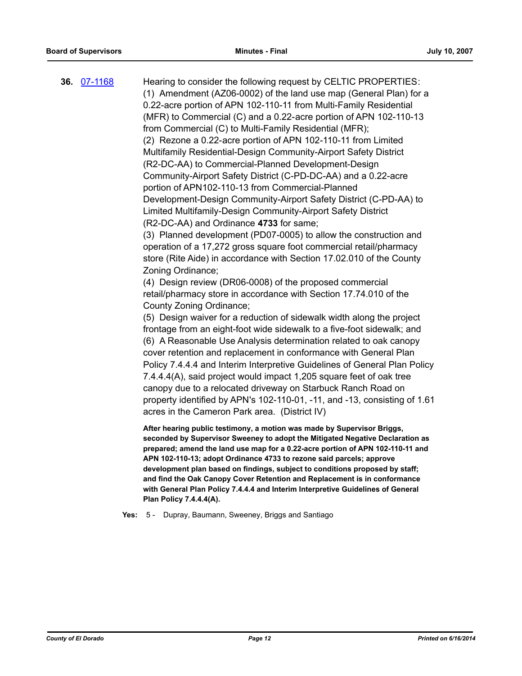**36.** [07-1168](http://eldorado.legistar.com/gateway.aspx?m=l&id=/matter.aspx?key=5993) Hearing to consider the following request by CELTIC PROPERTIES: (1) Amendment (AZ06-0002) of the land use map (General Plan) for a 0.22-acre portion of APN 102-110-11 from Multi-Family Residential (MFR) to Commercial (C) and a 0.22-acre portion of APN 102-110-13 from Commercial (C) to Multi-Family Residential (MFR); (2) Rezone a 0.22-acre portion of APN 102-110-11 from Limited Multifamily Residential-Design Community-Airport Safety District (R2-DC-AA) to Commercial-Planned Development-Design Community-Airport Safety District (C-PD-DC-AA) and a 0.22-acre portion of APN102-110-13 from Commercial-Planned Development-Design Community-Airport Safety District (C-PD-AA) to Limited Multifamily-Design Community-Airport Safety District (R2-DC-AA) and Ordinance **4733** for same; (3) Planned development (PD07-0005) to allow the construction and operation of a 17,272 gross square foot commercial retail/pharmacy store (Rite Aide) in accordance with Section 17.02.010 of the County Zoning Ordinance; (4) Design review (DR06-0008) of the proposed commercial retail/pharmacy store in accordance with Section 17.74.010 of the County Zoning Ordinance; (5) Design waiver for a reduction of sidewalk width along the project frontage from an eight-foot wide sidewalk to a five-foot sidewalk; and (6) A Reasonable Use Analysis determination related to oak canopy cover retention and replacement in conformance with General Plan Policy 7.4.4.4 and Interim Interpretive Guidelines of General Plan Policy 7.4.4.4(A), said project would impact 1,205 square feet of oak tree canopy due to a relocated driveway on Starbuck Ranch Road on property identified by APN's 102-110-01, -11, and -13, consisting of 1.61 acres in the Cameron Park area. (District IV) **After hearing public testimony, a motion was made by Supervisor Briggs, seconded by Supervisor Sweeney to adopt the Mitigated Negative Declaration as prepared; amend the land use map for a 0.22-acre portion of APN 102-110-11 and APN 102-110-13; adopt Ordinance 4733 to rezone said parcels; approve development plan based on findings, subject to conditions proposed by staff; and find the Oak Canopy Cover Retention and Replacement is in conformance** 

**Yes:** 5 - Dupray, Baumann, Sweeney, Briggs and Santiago

**Plan Policy 7.4.4.4(A).**

**with General Plan Policy 7.4.4.4 and Interim Interpretive Guidelines of General**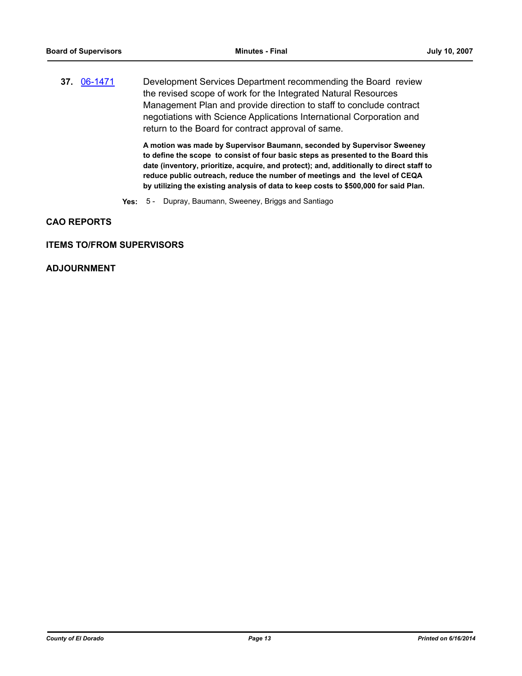**37.** [06-1471](http://eldorado.legistar.com/gateway.aspx?m=l&id=/matter.aspx?key=3347) Development Services Department recommending the Board review the revised scope of work for the Integrated Natural Resources Management Plan and provide direction to staff to conclude contract negotiations with Science Applications International Corporation and return to the Board for contract approval of same.

> **A motion was made by Supervisor Baumann, seconded by Supervisor Sweeney to define the scope to consist of four basic steps as presented to the Board this date (inventory, prioritize, acquire, and protect); and, additionally to direct staff to reduce public outreach, reduce the number of meetings and the level of CEQA by utilizing the existing analysis of data to keep costs to \$500,000 for said Plan.**

**Yes:** 5 - Dupray, Baumann, Sweeney, Briggs and Santiago

### **CAO REPORTS**

### **ITEMS TO/FROM SUPERVISORS**

## **ADJOURNMENT**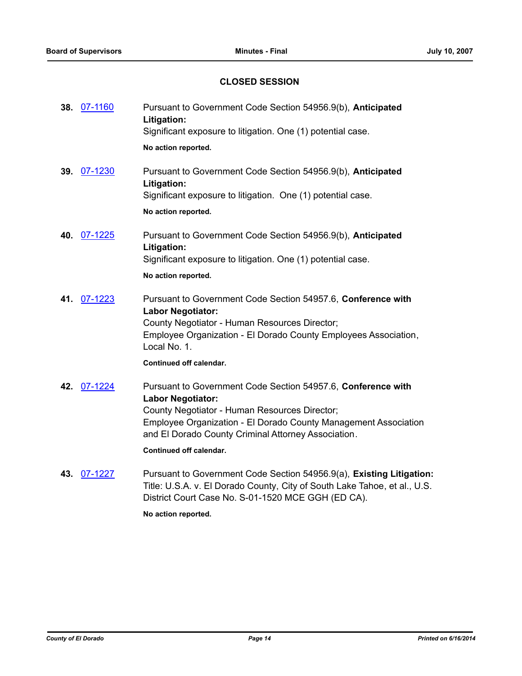# **CLOSED SESSION**

| 38. 07-1160 | Pursuant to Government Code Section 54956.9(b), Anticipated<br>Litigation:<br>Significant exposure to litigation. One (1) potential case.                                                                                                                                                      |
|-------------|------------------------------------------------------------------------------------------------------------------------------------------------------------------------------------------------------------------------------------------------------------------------------------------------|
|             | No action reported.                                                                                                                                                                                                                                                                            |
| 07-1230     | Pursuant to Government Code Section 54956.9(b), Anticipated<br>Litigation:<br>Significant exposure to litigation. One (1) potential case.<br>No action reported.                                                                                                                               |
|             | Pursuant to Government Code Section 54956.9(b), Anticipated<br>Litigation:<br>Significant exposure to litigation. One (1) potential case.                                                                                                                                                      |
|             | No action reported.                                                                                                                                                                                                                                                                            |
| 07-1223     | Pursuant to Government Code Section 54957.6, Conference with<br><b>Labor Negotiator:</b><br>County Negotiator - Human Resources Director;<br>Employee Organization - El Dorado County Employees Association,<br>Local No. 1.                                                                   |
|             | Continued off calendar.                                                                                                                                                                                                                                                                        |
|             | Pursuant to Government Code Section 54957.6, Conference with<br><b>Labor Negotiator:</b><br>County Negotiator - Human Resources Director;<br>Employee Organization - El Dorado County Management Association<br>and El Dorado County Criminal Attorney Association.<br>Continued off calendar. |
|             | Durayant to Coverage of Cade Costian E40EC $Q(s)$ . Evisting Little                                                                                                                                                                                                                            |
|             | 39.<br>40. 07-1225<br>41.<br>42. 07-1224<br>07.4007<br>$\overline{ }$                                                                                                                                                                                                                          |

**43.** [07-1227](http://eldorado.legistar.com/gateway.aspx?m=l&id=/matter.aspx?key=6076) Pursuant to Government Code Section 54956.9(a), **Existing Litigation:**  Title: U.S.A. v. El Dorado County, City of South Lake Tahoe, et al., U.S. District Court Case No. S-01-1520 MCE GGH (ED CA).

**No action reported.**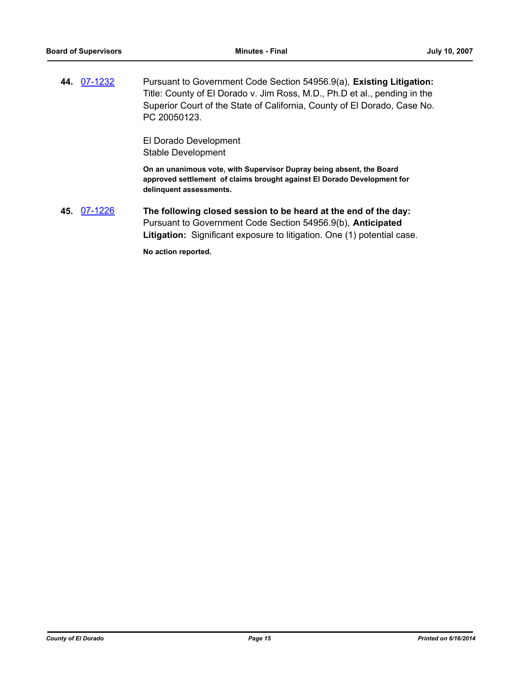**44.** [07-1232](http://eldorado.legistar.com/gateway.aspx?m=l&id=/matter.aspx?key=6084) Pursuant to Government Code Section 54956.9(a), **Existing Litigation:**  Title: County of El Dorado v. Jim Ross, M.D., Ph.D et al., pending in the Superior Court of the State of California, County of El Dorado, Case No. PC 20050123.

> El Dorado Development Stable Development

**On an unanimous vote, with Supervisor Dupray being absent, the Board approved settlement of claims brought against El Dorado Development for delinquent assessments.**

**45.** [07-1226](http://eldorado.legistar.com/gateway.aspx?m=l&id=/matter.aspx?key=6075) **The following closed session to be heard at the end of the day:**  Pursuant to Government Code Section 54956.9(b), **Anticipated Litigation:** Significant exposure to litigation. One (1) potential case.

**No action reported.**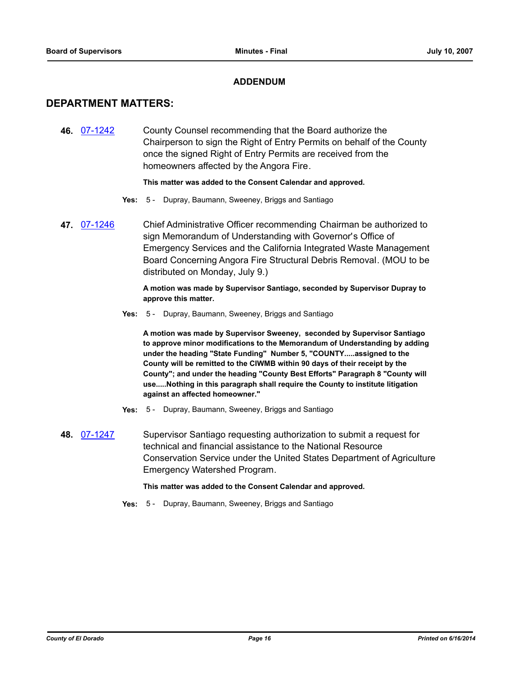## **ADDENDUM**

# **DEPARTMENT MATTERS:**

**46.** [07-1242](http://eldorado.legistar.com/gateway.aspx?m=l&id=/matter.aspx?key=6097) County Counsel recommending that the Board authorize the Chairperson to sign the Right of Entry Permits on behalf of the County once the signed Right of Entry Permits are received from the homeowners affected by the Angora Fire.

### **This matter was added to the Consent Calendar and approved.**

- **Yes:** 5 Dupray, Baumann, Sweeney, Briggs and Santiago
- **47.** [07-1246](http://eldorado.legistar.com/gateway.aspx?m=l&id=/matter.aspx?key=6104) Chief Administrative Officer recommending Chairman be authorized to sign Memorandum of Understanding with Governor's Office of Emergency Services and the California Integrated Waste Management Board Concerning Angora Fire Structural Debris Removal. (MOU to be distributed on Monday, July 9.)

**A motion was made by Supervisor Santiago, seconded by Supervisor Dupray to approve this matter.**

**Yes:** 5 - Dupray, Baumann, Sweeney, Briggs and Santiago

**A motion was made by Supervisor Sweeney, seconded by Supervisor Santiago to approve minor modifications to the Memorandum of Understanding by adding under the heading "State Funding" Number 5, "COUNTY.....assigned to the County will be remitted to the CIWMB within 90 days of their receipt by the County"; and under the heading "County Best Efforts" Paragraph 8 "County will use.....Nothing in this paragraph shall require the County to institute litigation against an affected homeowner."**

- **Yes:** 5 Dupray, Baumann, Sweeney, Briggs and Santiago
- **48.** [07-1247](http://eldorado.legistar.com/gateway.aspx?m=l&id=/matter.aspx?key=6106) Supervisor Santiago requesting authorization to submit a request for technical and financial assistance to the National Resource Conservation Service under the United States Department of Agriculture Emergency Watershed Program.

#### **This matter was added to the Consent Calendar and approved.**